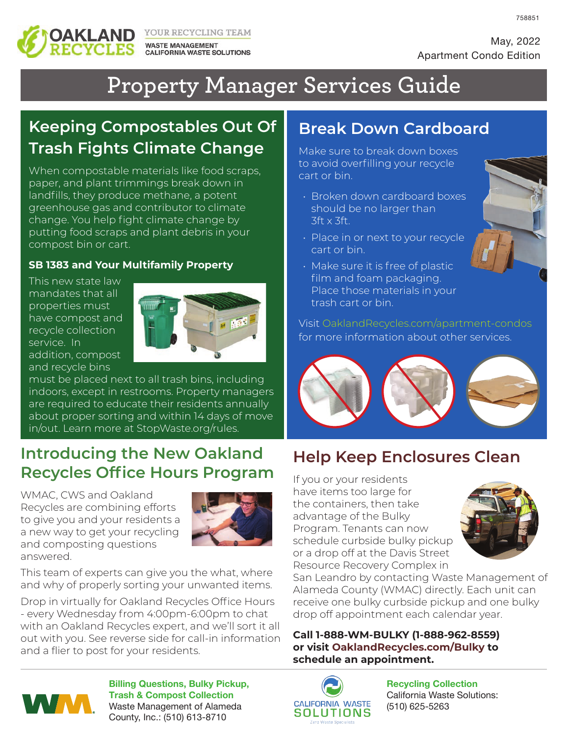

YOUR RECYCLING TEAM **WASTE MANAGEMENT CALIFORNIA WASTE SOLUTIONS**  758851

# **Property Manager Services Guide**

# **Keeping Compostables Out Of Trash Fights Climate Change**

When compostable materials like food scraps, paper, and plant trimmings break down in landfills, they produce methane, a potent greenhouse gas and contributor to climate change. You help fight climate change by putting food scraps and plant debris in your compost bin or cart.

#### **SB 1383 and Your Multifamily Property**

This new state law mandates that all properties must have compost and recycle collection service. In addition, compost and recycle bins



must be placed next to all trash bins, including indoors, except in restrooms. Property managers are required to educate their residents annually about proper sorting and within 14 days of move in/out. Learn more at StopWaste.org/rules.

#### **Introducing the New Oakland Recycles Office Hours Program**

WMAC, CWS and Oakland Recycles are combining efforts to give you and your residents a a new way to get your recycling and composting questions answered.



This team of experts can give you the what, where and why of properly sorting your unwanted items.

Drop in virtually for Oakland Recycles Office Hours - every Wednesday from 4:00pm-6:00pm to chat with an Oakland Recycles expert, and we'll sort it all out with you. See reverse side for call-in information and a flier to post for your residents.

## **Break Down Cardboard**

Make sure to break down boxes to avoid overfilling your recycle cart or bin.

- Broken down cardboard boxes should be no larger than 3ft x 3ft.
- Place in or next to your recycle cart or bin.
- Make sure it is free of plastic film and foam packaging. Place those materials in your trash cart or bin.

Visit OaklandRecycles.com/apartment-condos for more information about other services.



## **Help Keep Enclosures Clean**

If you or your residents have items too large for the containers, then take advantage of the Bulky Program. Tenants can now schedule curbside bulky pickup or a drop off at the Davis Street Resource Recovery Complex in



San Leandro by contacting Waste Management of Alameda County (WMAC) directly. Each unit can receive one bulky curbside pickup and one bulky drop off appointment each calendar year.

**Call 1-888-WM-BULKY (1-888-962-8559) or visit OaklandRecycles.com/Bulky to schedule an appointment.**



**Billing Questions, Bulky Pickup, Trash & Compost Collection** Waste Management of Alameda County, Inc.: (510) 613-8710



**Recycling Collection** California Waste Solutions: (510) 625-5263